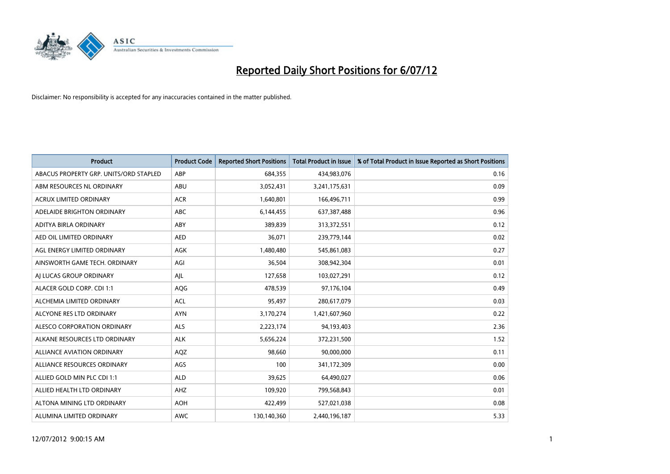

| <b>Product</b>                         | <b>Product Code</b> | <b>Reported Short Positions</b> | <b>Total Product in Issue</b> | % of Total Product in Issue Reported as Short Positions |
|----------------------------------------|---------------------|---------------------------------|-------------------------------|---------------------------------------------------------|
| ABACUS PROPERTY GRP. UNITS/ORD STAPLED | ABP                 | 684,355                         | 434,983,076                   | 0.16                                                    |
| ABM RESOURCES NL ORDINARY              | ABU                 | 3,052,431                       | 3,241,175,631                 | 0.09                                                    |
| <b>ACRUX LIMITED ORDINARY</b>          | <b>ACR</b>          | 1,640,801                       | 166,496,711                   | 0.99                                                    |
| ADELAIDE BRIGHTON ORDINARY             | <b>ABC</b>          | 6,144,455                       | 637,387,488                   | 0.96                                                    |
| <b>ADITYA BIRLA ORDINARY</b>           | ABY                 | 389.839                         | 313,372,551                   | 0.12                                                    |
| AED OIL LIMITED ORDINARY               | <b>AED</b>          | 36,071                          | 239,779,144                   | 0.02                                                    |
| AGL ENERGY LIMITED ORDINARY            | AGK                 | 1,480,480                       | 545,861,083                   | 0.27                                                    |
| AINSWORTH GAME TECH. ORDINARY          | AGI                 | 36,504                          | 308,942,304                   | 0.01                                                    |
| AI LUCAS GROUP ORDINARY                | AJL                 | 127,658                         | 103,027,291                   | 0.12                                                    |
| ALACER GOLD CORP. CDI 1:1              | AQG                 | 478,539                         | 97,176,104                    | 0.49                                                    |
| ALCHEMIA LIMITED ORDINARY              | <b>ACL</b>          | 95,497                          | 280,617,079                   | 0.03                                                    |
| ALCYONE RES LTD ORDINARY               | <b>AYN</b>          | 3,170,274                       | 1,421,607,960                 | 0.22                                                    |
| ALESCO CORPORATION ORDINARY            | ALS                 | 2,223,174                       | 94,193,403                    | 2.36                                                    |
| ALKANE RESOURCES LTD ORDINARY          | <b>ALK</b>          | 5,656,224                       | 372,231,500                   | 1.52                                                    |
| <b>ALLIANCE AVIATION ORDINARY</b>      | AQZ                 | 98,660                          | 90,000,000                    | 0.11                                                    |
| ALLIANCE RESOURCES ORDINARY            | AGS                 | 100                             | 341,172,309                   | 0.00                                                    |
| ALLIED GOLD MIN PLC CDI 1:1            | <b>ALD</b>          | 39,625                          | 64,490,027                    | 0.06                                                    |
| ALLIED HEALTH LTD ORDINARY             | AHZ                 | 109,920                         | 799,568,843                   | 0.01                                                    |
| ALTONA MINING LTD ORDINARY             | <b>AOH</b>          | 422,499                         | 527,021,038                   | 0.08                                                    |
| ALUMINA LIMITED ORDINARY               | <b>AWC</b>          | 130,140,360                     | 2,440,196,187                 | 5.33                                                    |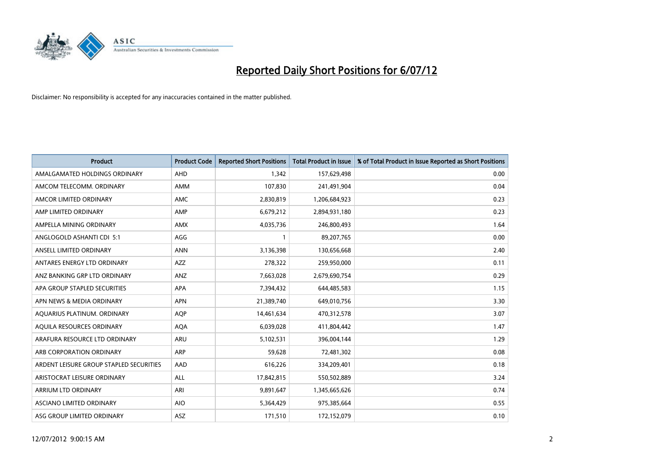

| <b>Product</b>                          | <b>Product Code</b> | <b>Reported Short Positions</b> | <b>Total Product in Issue</b> | % of Total Product in Issue Reported as Short Positions |
|-----------------------------------------|---------------------|---------------------------------|-------------------------------|---------------------------------------------------------|
| AMALGAMATED HOLDINGS ORDINARY           | <b>AHD</b>          | 1.342                           | 157,629,498                   | 0.00                                                    |
| AMCOM TELECOMM. ORDINARY                | <b>AMM</b>          | 107,830                         | 241,491,904                   | 0.04                                                    |
| AMCOR LIMITED ORDINARY                  | <b>AMC</b>          | 2,830,819                       | 1,206,684,923                 | 0.23                                                    |
| AMP LIMITED ORDINARY                    | AMP                 | 6,679,212                       | 2,894,931,180                 | 0.23                                                    |
| AMPELLA MINING ORDINARY                 | <b>AMX</b>          | 4,035,736                       | 246,800,493                   | 1.64                                                    |
| ANGLOGOLD ASHANTI CDI 5:1               | AGG                 |                                 | 89,207,765                    | 0.00                                                    |
| ANSELL LIMITED ORDINARY                 | <b>ANN</b>          | 3,136,398                       | 130,656,668                   | 2.40                                                    |
| ANTARES ENERGY LTD ORDINARY             | <b>AZZ</b>          | 278,322                         | 259,950,000                   | 0.11                                                    |
| ANZ BANKING GRP LTD ORDINARY            | <b>ANZ</b>          | 7,663,028                       | 2,679,690,754                 | 0.29                                                    |
| APA GROUP STAPLED SECURITIES            | <b>APA</b>          | 7,394,432                       | 644,485,583                   | 1.15                                                    |
| APN NEWS & MEDIA ORDINARY               | <b>APN</b>          | 21,389,740                      | 649,010,756                   | 3.30                                                    |
| AQUARIUS PLATINUM. ORDINARY             | <b>AOP</b>          | 14,461,634                      | 470,312,578                   | 3.07                                                    |
| AQUILA RESOURCES ORDINARY               | <b>AQA</b>          | 6,039,028                       | 411,804,442                   | 1.47                                                    |
| ARAFURA RESOURCE LTD ORDINARY           | <b>ARU</b>          | 5,102,531                       | 396,004,144                   | 1.29                                                    |
| ARB CORPORATION ORDINARY                | ARP                 | 59.628                          | 72,481,302                    | 0.08                                                    |
| ARDENT LEISURE GROUP STAPLED SECURITIES | AAD                 | 616,226                         | 334,209,401                   | 0.18                                                    |
| ARISTOCRAT LEISURE ORDINARY             | <b>ALL</b>          | 17,842,815                      | 550,502,889                   | 3.24                                                    |
| <b>ARRIUM LTD ORDINARY</b>              | ARI                 | 9,891,647                       | 1,345,665,626                 | 0.74                                                    |
| <b>ASCIANO LIMITED ORDINARY</b>         | <b>AIO</b>          | 5,364,429                       | 975,385,664                   | 0.55                                                    |
| ASG GROUP LIMITED ORDINARY              | <b>ASZ</b>          | 171,510                         | 172,152,079                   | 0.10                                                    |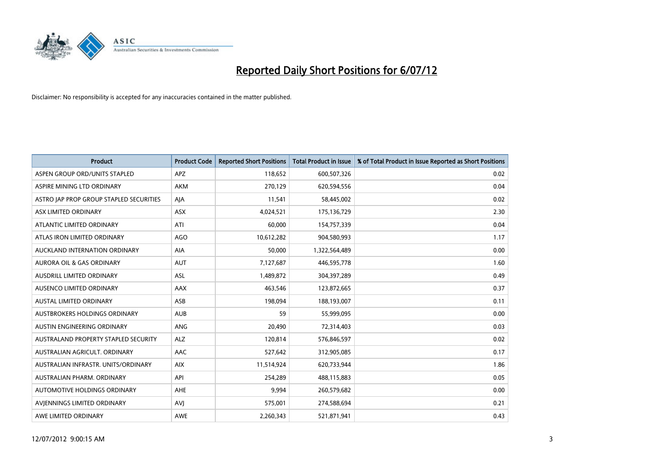

| <b>Product</b>                          | <b>Product Code</b> | <b>Reported Short Positions</b> | <b>Total Product in Issue</b> | % of Total Product in Issue Reported as Short Positions |
|-----------------------------------------|---------------------|---------------------------------|-------------------------------|---------------------------------------------------------|
| ASPEN GROUP ORD/UNITS STAPLED           | APZ                 | 118,652                         | 600,507,326                   | 0.02                                                    |
| ASPIRE MINING LTD ORDINARY              | <b>AKM</b>          | 270.129                         | 620,594,556                   | 0.04                                                    |
| ASTRO JAP PROP GROUP STAPLED SECURITIES | AJA                 | 11,541                          | 58,445,002                    | 0.02                                                    |
| ASX LIMITED ORDINARY                    | <b>ASX</b>          | 4,024,521                       | 175,136,729                   | 2.30                                                    |
| ATLANTIC LIMITED ORDINARY               | ATI                 | 60.000                          | 154,757,339                   | 0.04                                                    |
| ATLAS IRON LIMITED ORDINARY             | <b>AGO</b>          | 10,612,282                      | 904,580,993                   | 1.17                                                    |
| AUCKLAND INTERNATION ORDINARY           | <b>AIA</b>          | 50.000                          | 1,322,564,489                 | 0.00                                                    |
| <b>AURORA OIL &amp; GAS ORDINARY</b>    | <b>AUT</b>          | 7,127,687                       | 446,595,778                   | 1.60                                                    |
| AUSDRILL LIMITED ORDINARY               | ASL                 | 1,489,872                       | 304,397,289                   | 0.49                                                    |
| AUSENCO LIMITED ORDINARY                | AAX                 | 463,546                         | 123,872,665                   | 0.37                                                    |
| <b>AUSTAL LIMITED ORDINARY</b>          | ASB                 | 198,094                         | 188,193,007                   | 0.11                                                    |
| AUSTBROKERS HOLDINGS ORDINARY           | <b>AUB</b>          | 59                              | 55,999,095                    | 0.00                                                    |
| <b>AUSTIN ENGINEERING ORDINARY</b>      | <b>ANG</b>          | 20.490                          | 72,314,403                    | 0.03                                                    |
| AUSTRALAND PROPERTY STAPLED SECURITY    | <b>ALZ</b>          | 120.814                         | 576,846,597                   | 0.02                                                    |
| AUSTRALIAN AGRICULT, ORDINARY           | <b>AAC</b>          | 527,642                         | 312,905,085                   | 0.17                                                    |
| AUSTRALIAN INFRASTR, UNITS/ORDINARY     | <b>AIX</b>          | 11,514,924                      | 620,733,944                   | 1.86                                                    |
| AUSTRALIAN PHARM, ORDINARY              | API                 | 254,289                         | 488,115,883                   | 0.05                                                    |
| AUTOMOTIVE HOLDINGS ORDINARY            | <b>AHE</b>          | 9,994                           | 260,579,682                   | 0.00                                                    |
| AVIENNINGS LIMITED ORDINARY             | AVI                 | 575,001                         | 274,588,694                   | 0.21                                                    |
| AWE LIMITED ORDINARY                    | <b>AWE</b>          | 2.260.343                       | 521,871,941                   | 0.43                                                    |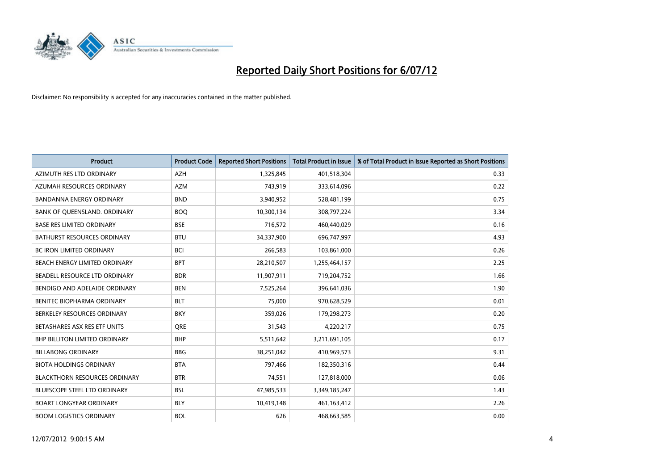

| <b>Product</b>                       | <b>Product Code</b> | <b>Reported Short Positions</b> | <b>Total Product in Issue</b> | % of Total Product in Issue Reported as Short Positions |
|--------------------------------------|---------------------|---------------------------------|-------------------------------|---------------------------------------------------------|
| AZIMUTH RES LTD ORDINARY             | <b>AZH</b>          | 1,325,845                       | 401,518,304                   | 0.33                                                    |
| AZUMAH RESOURCES ORDINARY            | <b>AZM</b>          | 743,919                         | 333,614,096                   | 0.22                                                    |
| <b>BANDANNA ENERGY ORDINARY</b>      | <b>BND</b>          | 3,940,952                       | 528,481,199                   | 0.75                                                    |
| BANK OF QUEENSLAND. ORDINARY         | <b>BOQ</b>          | 10,300,134                      | 308,797,224                   | 3.34                                                    |
| <b>BASE RES LIMITED ORDINARY</b>     | <b>BSE</b>          | 716,572                         | 460,440,029                   | 0.16                                                    |
| <b>BATHURST RESOURCES ORDINARY</b>   | <b>BTU</b>          | 34,337,900                      | 696,747,997                   | 4.93                                                    |
| <b>BC IRON LIMITED ORDINARY</b>      | <b>BCI</b>          | 266,583                         | 103,861,000                   | 0.26                                                    |
| BEACH ENERGY LIMITED ORDINARY        | <b>BPT</b>          | 28,210,507                      | 1,255,464,157                 | 2.25                                                    |
| BEADELL RESOURCE LTD ORDINARY        | <b>BDR</b>          | 11,907,911                      | 719,204,752                   | 1.66                                                    |
| BENDIGO AND ADELAIDE ORDINARY        | <b>BEN</b>          | 7,525,264                       | 396,641,036                   | 1.90                                                    |
| BENITEC BIOPHARMA ORDINARY           | <b>BLT</b>          | 75,000                          | 970,628,529                   | 0.01                                                    |
| BERKELEY RESOURCES ORDINARY          | <b>BKY</b>          | 359,026                         | 179,298,273                   | 0.20                                                    |
| BETASHARES ASX RES ETF UNITS         | <b>ORE</b>          | 31,543                          | 4,220,217                     | 0.75                                                    |
| <b>BHP BILLITON LIMITED ORDINARY</b> | <b>BHP</b>          | 5,511,642                       | 3,211,691,105                 | 0.17                                                    |
| <b>BILLABONG ORDINARY</b>            | <b>BBG</b>          | 38,251,042                      | 410,969,573                   | 9.31                                                    |
| <b>BIOTA HOLDINGS ORDINARY</b>       | <b>BTA</b>          | 797,466                         | 182,350,316                   | 0.44                                                    |
| <b>BLACKTHORN RESOURCES ORDINARY</b> | <b>BTR</b>          | 74,551                          | 127,818,000                   | 0.06                                                    |
| BLUESCOPE STEEL LTD ORDINARY         | <b>BSL</b>          | 47,985,533                      | 3,349,185,247                 | 1.43                                                    |
| <b>BOART LONGYEAR ORDINARY</b>       | <b>BLY</b>          | 10,419,148                      | 461,163,412                   | 2.26                                                    |
| <b>BOOM LOGISTICS ORDINARY</b>       | <b>BOL</b>          | 626                             | 468,663,585                   | 0.00                                                    |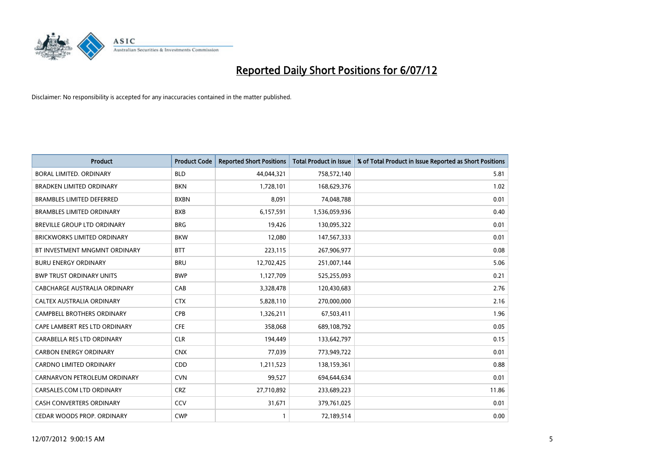

| <b>Product</b>                     | <b>Product Code</b> | <b>Reported Short Positions</b> | <b>Total Product in Issue</b> | % of Total Product in Issue Reported as Short Positions |
|------------------------------------|---------------------|---------------------------------|-------------------------------|---------------------------------------------------------|
| BORAL LIMITED, ORDINARY            | <b>BLD</b>          | 44,044,321                      | 758,572,140                   | 5.81                                                    |
| <b>BRADKEN LIMITED ORDINARY</b>    | <b>BKN</b>          | 1,728,101                       | 168,629,376                   | 1.02                                                    |
| <b>BRAMBLES LIMITED DEFERRED</b>   | <b>BXBN</b>         | 8,091                           | 74,048,788                    | 0.01                                                    |
| <b>BRAMBLES LIMITED ORDINARY</b>   | <b>BXB</b>          | 6,157,591                       | 1,536,059,936                 | 0.40                                                    |
| <b>BREVILLE GROUP LTD ORDINARY</b> | <b>BRG</b>          | 19,426                          | 130,095,322                   | 0.01                                                    |
| <b>BRICKWORKS LIMITED ORDINARY</b> | <b>BKW</b>          | 12,080                          | 147,567,333                   | 0.01                                                    |
| BT INVESTMENT MNGMNT ORDINARY      | <b>BTT</b>          | 223,115                         | 267,906,977                   | 0.08                                                    |
| <b>BURU ENERGY ORDINARY</b>        | <b>BRU</b>          | 12,702,425                      | 251,007,144                   | 5.06                                                    |
| <b>BWP TRUST ORDINARY UNITS</b>    | <b>BWP</b>          | 1,127,709                       | 525,255,093                   | 0.21                                                    |
| CABCHARGE AUSTRALIA ORDINARY       | CAB                 | 3,328,478                       | 120,430,683                   | 2.76                                                    |
| <b>CALTEX AUSTRALIA ORDINARY</b>   | <b>CTX</b>          | 5,828,110                       | 270,000,000                   | 2.16                                                    |
| <b>CAMPBELL BROTHERS ORDINARY</b>  | <b>CPB</b>          | 1,326,211                       | 67,503,411                    | 1.96                                                    |
| CAPE LAMBERT RES LTD ORDINARY      | <b>CFE</b>          | 358,068                         | 689,108,792                   | 0.05                                                    |
| CARABELLA RES LTD ORDINARY         | <b>CLR</b>          | 194.449                         | 133,642,797                   | 0.15                                                    |
| <b>CARBON ENERGY ORDINARY</b>      | <b>CNX</b>          | 77,039                          | 773,949,722                   | 0.01                                                    |
| <b>CARDNO LIMITED ORDINARY</b>     | CDD                 | 1,211,523                       | 138,159,361                   | 0.88                                                    |
| CARNARVON PETROLEUM ORDINARY       | <b>CVN</b>          | 99,527                          | 694,644,634                   | 0.01                                                    |
| CARSALES.COM LTD ORDINARY          | <b>CRZ</b>          | 27,710,892                      | 233,689,223                   | 11.86                                                   |
| <b>CASH CONVERTERS ORDINARY</b>    | CCV                 | 31,671                          | 379,761,025                   | 0.01                                                    |
| CEDAR WOODS PROP. ORDINARY         | <b>CWP</b>          | 1                               | 72,189,514                    | 0.00                                                    |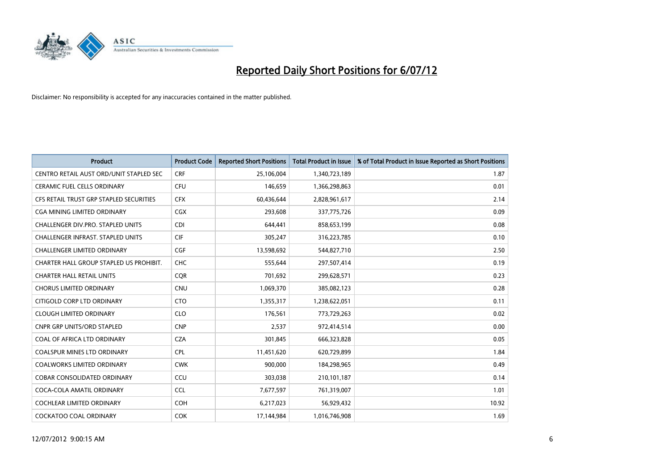

| <b>Product</b>                           | <b>Product Code</b> | <b>Reported Short Positions</b> | <b>Total Product in Issue</b> | % of Total Product in Issue Reported as Short Positions |
|------------------------------------------|---------------------|---------------------------------|-------------------------------|---------------------------------------------------------|
| CENTRO RETAIL AUST ORD/UNIT STAPLED SEC  | <b>CRF</b>          | 25,106,004                      | 1,340,723,189                 | 1.87                                                    |
| CERAMIC FUEL CELLS ORDINARY              | <b>CFU</b>          | 146,659                         | 1,366,298,863                 | 0.01                                                    |
| CFS RETAIL TRUST GRP STAPLED SECURITIES  | <b>CFX</b>          | 60,436,644                      | 2,828,961,617                 | 2.14                                                    |
| <b>CGA MINING LIMITED ORDINARY</b>       | <b>CGX</b>          | 293,608                         | 337,775,726                   | 0.09                                                    |
| CHALLENGER DIV.PRO. STAPLED UNITS        | <b>CDI</b>          | 644,441                         | 858,653,199                   | 0.08                                                    |
| <b>CHALLENGER INFRAST, STAPLED UNITS</b> | <b>CIF</b>          | 305,247                         | 316,223,785                   | 0.10                                                    |
| <b>CHALLENGER LIMITED ORDINARY</b>       | <b>CGF</b>          | 13,598,692                      | 544,827,710                   | 2.50                                                    |
| CHARTER HALL GROUP STAPLED US PROHIBIT.  | <b>CHC</b>          | 555,644                         | 297,507,414                   | 0.19                                                    |
| <b>CHARTER HALL RETAIL UNITS</b>         | <b>COR</b>          | 701,692                         | 299,628,571                   | 0.23                                                    |
| <b>CHORUS LIMITED ORDINARY</b>           | <b>CNU</b>          | 1,069,370                       | 385,082,123                   | 0.28                                                    |
| CITIGOLD CORP LTD ORDINARY               | <b>CTO</b>          | 1,355,317                       | 1,238,622,051                 | 0.11                                                    |
| <b>CLOUGH LIMITED ORDINARY</b>           | <b>CLO</b>          | 176,561                         | 773,729,263                   | 0.02                                                    |
| <b>CNPR GRP UNITS/ORD STAPLED</b>        | <b>CNP</b>          | 2,537                           | 972,414,514                   | 0.00                                                    |
| COAL OF AFRICA LTD ORDINARY              | <b>CZA</b>          | 301,845                         | 666,323,828                   | 0.05                                                    |
| <b>COALSPUR MINES LTD ORDINARY</b>       | <b>CPL</b>          | 11,451,620                      | 620,729,899                   | 1.84                                                    |
| <b>COALWORKS LIMITED ORDINARY</b>        | <b>CWK</b>          | 900.000                         | 184,298,965                   | 0.49                                                    |
| <b>COBAR CONSOLIDATED ORDINARY</b>       | CCU                 | 303,038                         | 210,101,187                   | 0.14                                                    |
| COCA-COLA AMATIL ORDINARY                | <b>CCL</b>          | 7,677,597                       | 761,319,007                   | 1.01                                                    |
| COCHLEAR LIMITED ORDINARY                | <b>COH</b>          | 6,217,023                       | 56,929,432                    | 10.92                                                   |
| COCKATOO COAL ORDINARY                   | <b>COK</b>          | 17,144,984                      | 1,016,746,908                 | 1.69                                                    |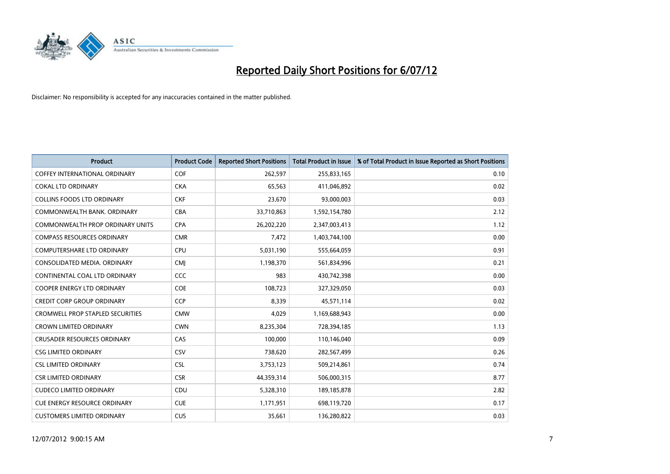

| <b>Product</b>                          | <b>Product Code</b> | <b>Reported Short Positions</b> | <b>Total Product in Issue</b> | % of Total Product in Issue Reported as Short Positions |
|-----------------------------------------|---------------------|---------------------------------|-------------------------------|---------------------------------------------------------|
| <b>COFFEY INTERNATIONAL ORDINARY</b>    | <b>COF</b>          | 262,597                         | 255,833,165                   | 0.10                                                    |
| <b>COKAL LTD ORDINARY</b>               | <b>CKA</b>          | 65,563                          | 411,046,892                   | 0.02                                                    |
| <b>COLLINS FOODS LTD ORDINARY</b>       | <b>CKF</b>          | 23,670                          | 93,000,003                    | 0.03                                                    |
| COMMONWEALTH BANK, ORDINARY             | <b>CBA</b>          | 33,710,863                      | 1,592,154,780                 | 2.12                                                    |
| <b>COMMONWEALTH PROP ORDINARY UNITS</b> | <b>CPA</b>          | 26,202,220                      | 2,347,003,413                 | 1.12                                                    |
| <b>COMPASS RESOURCES ORDINARY</b>       | <b>CMR</b>          | 7,472                           | 1,403,744,100                 | 0.00                                                    |
| <b>COMPUTERSHARE LTD ORDINARY</b>       | <b>CPU</b>          | 5,031,190                       | 555,664,059                   | 0.91                                                    |
| CONSOLIDATED MEDIA, ORDINARY            | <b>CMI</b>          | 1,198,370                       | 561,834,996                   | 0.21                                                    |
| CONTINENTAL COAL LTD ORDINARY           | CCC                 | 983                             | 430,742,398                   | 0.00                                                    |
| <b>COOPER ENERGY LTD ORDINARY</b>       | <b>COE</b>          | 108,723                         | 327,329,050                   | 0.03                                                    |
| <b>CREDIT CORP GROUP ORDINARY</b>       | <b>CCP</b>          | 8,339                           | 45,571,114                    | 0.02                                                    |
| <b>CROMWELL PROP STAPLED SECURITIES</b> | <b>CMW</b>          | 4,029                           | 1,169,688,943                 | 0.00                                                    |
| <b>CROWN LIMITED ORDINARY</b>           | <b>CWN</b>          | 8,235,304                       | 728,394,185                   | 1.13                                                    |
| <b>CRUSADER RESOURCES ORDINARY</b>      | CAS                 | 100.000                         | 110,146,040                   | 0.09                                                    |
| <b>CSG LIMITED ORDINARY</b>             | CSV                 | 738,620                         | 282,567,499                   | 0.26                                                    |
| <b>CSL LIMITED ORDINARY</b>             | <b>CSL</b>          | 3,753,123                       | 509,214,861                   | 0.74                                                    |
| <b>CSR LIMITED ORDINARY</b>             | <b>CSR</b>          | 44,359,314                      | 506,000,315                   | 8.77                                                    |
| <b>CUDECO LIMITED ORDINARY</b>          | CDU                 | 5,328,310                       | 189, 185, 878                 | 2.82                                                    |
| <b>CUE ENERGY RESOURCE ORDINARY</b>     | <b>CUE</b>          | 1,171,951                       | 698,119,720                   | 0.17                                                    |
| <b>CUSTOMERS LIMITED ORDINARY</b>       | CUS                 | 35,661                          | 136,280,822                   | 0.03                                                    |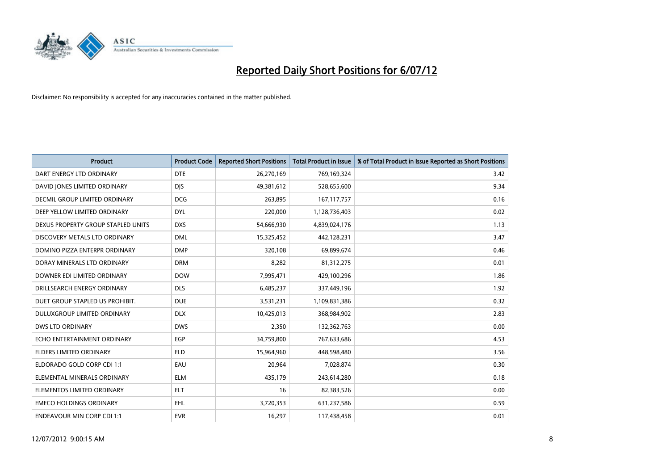

| <b>Product</b>                       | <b>Product Code</b> | <b>Reported Short Positions</b> | <b>Total Product in Issue</b> | % of Total Product in Issue Reported as Short Positions |
|--------------------------------------|---------------------|---------------------------------|-------------------------------|---------------------------------------------------------|
| DART ENERGY LTD ORDINARY             | <b>DTE</b>          | 26,270,169                      | 769,169,324                   | 3.42                                                    |
| DAVID JONES LIMITED ORDINARY         | <b>DIS</b>          | 49,381,612                      | 528,655,600                   | 9.34                                                    |
| <b>DECMIL GROUP LIMITED ORDINARY</b> | <b>DCG</b>          | 263,895                         | 167, 117, 757                 | 0.16                                                    |
| DEEP YELLOW LIMITED ORDINARY         | <b>DYL</b>          | 220,000                         | 1,128,736,403                 | 0.02                                                    |
| DEXUS PROPERTY GROUP STAPLED UNITS   | <b>DXS</b>          | 54,666,930                      | 4,839,024,176                 | 1.13                                                    |
| DISCOVERY METALS LTD ORDINARY        | <b>DML</b>          | 15,325,452                      | 442,128,231                   | 3.47                                                    |
| DOMINO PIZZA ENTERPR ORDINARY        | <b>DMP</b>          | 320,108                         | 69,899,674                    | 0.46                                                    |
| DORAY MINERALS LTD ORDINARY          | <b>DRM</b>          | 8,282                           | 81,312,275                    | 0.01                                                    |
| DOWNER EDI LIMITED ORDINARY          | <b>DOW</b>          | 7,995,471                       | 429,100,296                   | 1.86                                                    |
| DRILLSEARCH ENERGY ORDINARY          | <b>DLS</b>          | 6,485,237                       | 337,449,196                   | 1.92                                                    |
| DUET GROUP STAPLED US PROHIBIT.      | <b>DUE</b>          | 3,531,231                       | 1,109,831,386                 | 0.32                                                    |
| <b>DULUXGROUP LIMITED ORDINARY</b>   | <b>DLX</b>          | 10,425,013                      | 368,984,902                   | 2.83                                                    |
| <b>DWS LTD ORDINARY</b>              | <b>DWS</b>          | 2,350                           | 132,362,763                   | 0.00                                                    |
| ECHO ENTERTAINMENT ORDINARY          | <b>EGP</b>          | 34,759,800                      | 767,633,686                   | 4.53                                                    |
| <b>ELDERS LIMITED ORDINARY</b>       | <b>ELD</b>          | 15,964,960                      | 448,598,480                   | 3.56                                                    |
| ELDORADO GOLD CORP CDI 1:1           | EAU                 | 20,964                          | 7,028,874                     | 0.30                                                    |
| ELEMENTAL MINERALS ORDINARY          | <b>ELM</b>          | 435,179                         | 243,614,280                   | 0.18                                                    |
| ELEMENTOS LIMITED ORDINARY           | <b>ELT</b>          | 16                              | 82,383,526                    | 0.00                                                    |
| <b>EMECO HOLDINGS ORDINARY</b>       | <b>EHL</b>          | 3,720,353                       | 631,237,586                   | 0.59                                                    |
| <b>ENDEAVOUR MIN CORP CDI 1:1</b>    | <b>EVR</b>          | 16,297                          | 117,438,458                   | 0.01                                                    |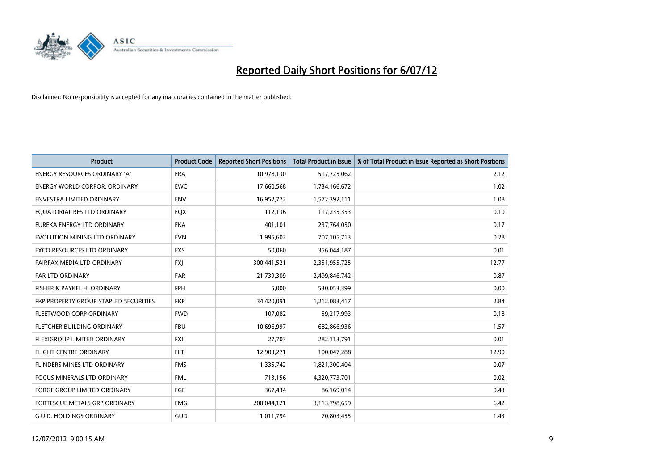

| <b>Product</b>                        | <b>Product Code</b> | <b>Reported Short Positions</b> | <b>Total Product in Issue</b> | % of Total Product in Issue Reported as Short Positions |
|---------------------------------------|---------------------|---------------------------------|-------------------------------|---------------------------------------------------------|
| <b>ENERGY RESOURCES ORDINARY 'A'</b>  | <b>ERA</b>          | 10,978,130                      | 517,725,062                   | 2.12                                                    |
| <b>ENERGY WORLD CORPOR, ORDINARY</b>  | <b>EWC</b>          | 17,660,568                      | 1,734,166,672                 | 1.02                                                    |
| <b>ENVESTRA LIMITED ORDINARY</b>      | <b>ENV</b>          | 16,952,772                      | 1,572,392,111                 | 1.08                                                    |
| EQUATORIAL RES LTD ORDINARY           | EQX                 | 112,136                         | 117,235,353                   | 0.10                                                    |
| <b>EUREKA ENERGY LTD ORDINARY</b>     | <b>EKA</b>          | 401.101                         | 237,764,050                   | 0.17                                                    |
| EVOLUTION MINING LTD ORDINARY         | <b>EVN</b>          | 1,995,602                       | 707,105,713                   | 0.28                                                    |
| <b>EXCO RESOURCES LTD ORDINARY</b>    | EXS                 | 50,060                          | 356,044,187                   | 0.01                                                    |
| FAIRFAX MEDIA LTD ORDINARY            | <b>FXI</b>          | 300,441,521                     | 2,351,955,725                 | 12.77                                                   |
| FAR LTD ORDINARY                      | <b>FAR</b>          | 21,739,309                      | 2,499,846,742                 | 0.87                                                    |
| FISHER & PAYKEL H. ORDINARY           | <b>FPH</b>          | 5.000                           | 530,053,399                   | 0.00                                                    |
| FKP PROPERTY GROUP STAPLED SECURITIES | <b>FKP</b>          | 34,420,091                      | 1,212,083,417                 | 2.84                                                    |
| FLEETWOOD CORP ORDINARY               | <b>FWD</b>          | 107,082                         | 59,217,993                    | 0.18                                                    |
| FLETCHER BUILDING ORDINARY            | <b>FBU</b>          | 10,696,997                      | 682,866,936                   | 1.57                                                    |
| FLEXIGROUP LIMITED ORDINARY           | <b>FXL</b>          | 27,703                          | 282,113,791                   | 0.01                                                    |
| <b>FLIGHT CENTRE ORDINARY</b>         | <b>FLT</b>          | 12,903,271                      | 100,047,288                   | 12.90                                                   |
| FLINDERS MINES LTD ORDINARY           | <b>FMS</b>          | 1,335,742                       | 1,821,300,404                 | 0.07                                                    |
| <b>FOCUS MINERALS LTD ORDINARY</b>    | <b>FML</b>          | 713,156                         | 4,320,773,701                 | 0.02                                                    |
| FORGE GROUP LIMITED ORDINARY          | <b>FGE</b>          | 367,434                         | 86,169,014                    | 0.43                                                    |
| FORTESCUE METALS GRP ORDINARY         | <b>FMG</b>          | 200,044,121                     | 3,113,798,659                 | 6.42                                                    |
| <b>G.U.D. HOLDINGS ORDINARY</b>       | <b>GUD</b>          | 1,011,794                       | 70,803,455                    | 1.43                                                    |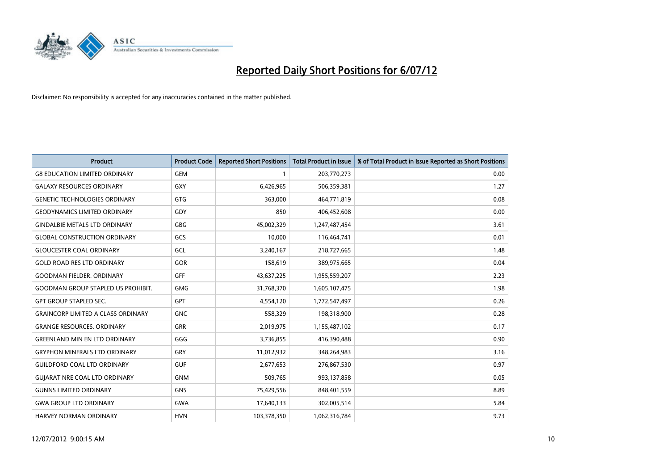

| <b>Product</b>                            | <b>Product Code</b> | <b>Reported Short Positions</b> | <b>Total Product in Issue</b> | % of Total Product in Issue Reported as Short Positions |
|-------------------------------------------|---------------------|---------------------------------|-------------------------------|---------------------------------------------------------|
| <b>G8 EDUCATION LIMITED ORDINARY</b>      | <b>GEM</b>          |                                 | 203,770,273                   | 0.00                                                    |
| <b>GALAXY RESOURCES ORDINARY</b>          | GXY                 | 6,426,965                       | 506,359,381                   | 1.27                                                    |
| <b>GENETIC TECHNOLOGIES ORDINARY</b>      | <b>GTG</b>          | 363,000                         | 464,771,819                   | 0.08                                                    |
| <b>GEODYNAMICS LIMITED ORDINARY</b>       | GDY                 | 850                             | 406,452,608                   | 0.00                                                    |
| <b>GINDALBIE METALS LTD ORDINARY</b>      | <b>GBG</b>          | 45,002,329                      | 1,247,487,454                 | 3.61                                                    |
| <b>GLOBAL CONSTRUCTION ORDINARY</b>       | GCS                 | 10,000                          | 116,464,741                   | 0.01                                                    |
| <b>GLOUCESTER COAL ORDINARY</b>           | GCL                 | 3,240,167                       | 218,727,665                   | 1.48                                                    |
| <b>GOLD ROAD RES LTD ORDINARY</b>         | <b>GOR</b>          | 158,619                         | 389,975,665                   | 0.04                                                    |
| <b>GOODMAN FIELDER, ORDINARY</b>          | GFF                 | 43,637,225                      | 1,955,559,207                 | 2.23                                                    |
| <b>GOODMAN GROUP STAPLED US PROHIBIT.</b> | <b>GMG</b>          | 31,768,370                      | 1,605,107,475                 | 1.98                                                    |
| <b>GPT GROUP STAPLED SEC.</b>             | <b>GPT</b>          | 4,554,120                       | 1,772,547,497                 | 0.26                                                    |
| <b>GRAINCORP LIMITED A CLASS ORDINARY</b> | <b>GNC</b>          | 558,329                         | 198,318,900                   | 0.28                                                    |
| <b>GRANGE RESOURCES, ORDINARY</b>         | <b>GRR</b>          | 2,019,975                       | 1,155,487,102                 | 0.17                                                    |
| <b>GREENLAND MIN EN LTD ORDINARY</b>      | GGG                 | 3,736,855                       | 416,390,488                   | 0.90                                                    |
| <b>GRYPHON MINERALS LTD ORDINARY</b>      | GRY                 | 11,012,932                      | 348,264,983                   | 3.16                                                    |
| <b>GUILDFORD COAL LTD ORDINARY</b>        | <b>GUF</b>          | 2,677,653                       | 276,867,530                   | 0.97                                                    |
| <b>GUIARAT NRE COAL LTD ORDINARY</b>      | <b>GNM</b>          | 509,765                         | 993,137,858                   | 0.05                                                    |
| <b>GUNNS LIMITED ORDINARY</b>             | <b>GNS</b>          | 75,429,556                      | 848,401,559                   | 8.89                                                    |
| <b>GWA GROUP LTD ORDINARY</b>             | <b>GWA</b>          | 17,640,133                      | 302,005,514                   | 5.84                                                    |
| <b>HARVEY NORMAN ORDINARY</b>             | <b>HVN</b>          | 103,378,350                     | 1,062,316,784                 | 9.73                                                    |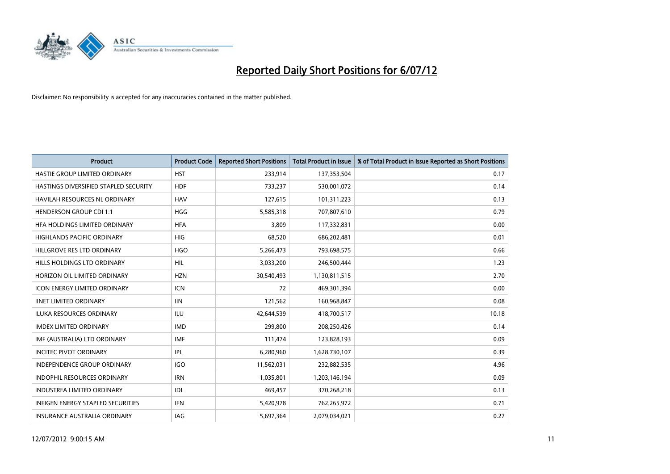

| <b>Product</b>                           | <b>Product Code</b> | <b>Reported Short Positions</b> | <b>Total Product in Issue</b> | % of Total Product in Issue Reported as Short Positions |
|------------------------------------------|---------------------|---------------------------------|-------------------------------|---------------------------------------------------------|
| HASTIE GROUP LIMITED ORDINARY            | <b>HST</b>          | 233,914                         | 137,353,504                   | 0.17                                                    |
| HASTINGS DIVERSIFIED STAPLED SECURITY    | <b>HDF</b>          | 733,237                         | 530,001,072                   | 0.14                                                    |
| <b>HAVILAH RESOURCES NL ORDINARY</b>     | <b>HAV</b>          | 127,615                         | 101,311,223                   | 0.13                                                    |
| <b>HENDERSON GROUP CDI 1:1</b>           | <b>HGG</b>          | 5,585,318                       | 707,807,610                   | 0.79                                                    |
| HFA HOLDINGS LIMITED ORDINARY            | <b>HFA</b>          | 3,809                           | 117,332,831                   | 0.00                                                    |
| <b>HIGHLANDS PACIFIC ORDINARY</b>        | <b>HIG</b>          | 68,520                          | 686,202,481                   | 0.01                                                    |
| HILLGROVE RES LTD ORDINARY               | <b>HGO</b>          | 5,266,473                       | 793,698,575                   | 0.66                                                    |
| <b>HILLS HOLDINGS LTD ORDINARY</b>       | <b>HIL</b>          | 3,033,200                       | 246,500,444                   | 1.23                                                    |
| HORIZON OIL LIMITED ORDINARY             | <b>HZN</b>          | 30,540,493                      | 1,130,811,515                 | 2.70                                                    |
| <b>ICON ENERGY LIMITED ORDINARY</b>      | <b>ICN</b>          | 72                              | 469,301,394                   | 0.00                                                    |
| <b>IINET LIMITED ORDINARY</b>            | <b>IIN</b>          | 121,562                         | 160,968,847                   | 0.08                                                    |
| ILUKA RESOURCES ORDINARY                 | ILU                 | 42,644,539                      | 418,700,517                   | 10.18                                                   |
| <b>IMDEX LIMITED ORDINARY</b>            | <b>IMD</b>          | 299,800                         | 208,250,426                   | 0.14                                                    |
| IMF (AUSTRALIA) LTD ORDINARY             | <b>IMF</b>          | 111,474                         | 123,828,193                   | 0.09                                                    |
| <b>INCITEC PIVOT ORDINARY</b>            | <b>IPL</b>          | 6,280,960                       | 1,628,730,107                 | 0.39                                                    |
| INDEPENDENCE GROUP ORDINARY              | <b>IGO</b>          | 11,562,031                      | 232,882,535                   | 4.96                                                    |
| INDOPHIL RESOURCES ORDINARY              | <b>IRN</b>          | 1,035,801                       | 1,203,146,194                 | 0.09                                                    |
| <b>INDUSTREA LIMITED ORDINARY</b>        | <b>IDL</b>          | 469,457                         | 370,268,218                   | 0.13                                                    |
| <b>INFIGEN ENERGY STAPLED SECURITIES</b> | <b>IFN</b>          | 5,420,978                       | 762,265,972                   | 0.71                                                    |
| INSURANCE AUSTRALIA ORDINARY             | IAG                 | 5,697,364                       | 2,079,034,021                 | 0.27                                                    |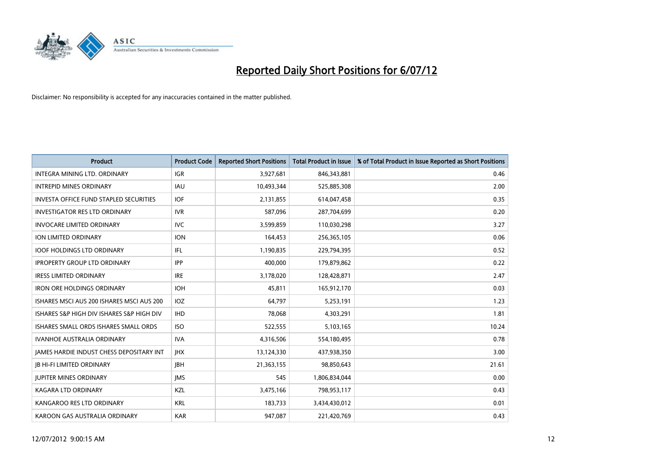

| <b>Product</b>                                  | <b>Product Code</b> | <b>Reported Short Positions</b> | <b>Total Product in Issue</b> | % of Total Product in Issue Reported as Short Positions |
|-------------------------------------------------|---------------------|---------------------------------|-------------------------------|---------------------------------------------------------|
| <b>INTEGRA MINING LTD, ORDINARY</b>             | <b>IGR</b>          | 3,927,681                       | 846,343,881                   | 0.46                                                    |
| <b>INTREPID MINES ORDINARY</b>                  | <b>IAU</b>          | 10,493,344                      | 525,885,308                   | 2.00                                                    |
| <b>INVESTA OFFICE FUND STAPLED SECURITIES</b>   | <b>IOF</b>          | 2,131,855                       | 614,047,458                   | 0.35                                                    |
| <b>INVESTIGATOR RES LTD ORDINARY</b>            | <b>IVR</b>          | 587,096                         | 287,704,699                   | 0.20                                                    |
| <b>INVOCARE LIMITED ORDINARY</b>                | <b>IVC</b>          | 3,599,859                       | 110,030,298                   | 3.27                                                    |
| ION LIMITED ORDINARY                            | <b>ION</b>          | 164,453                         | 256,365,105                   | 0.06                                                    |
| <b>IOOF HOLDINGS LTD ORDINARY</b>               | IFL                 | 1,190,835                       | 229,794,395                   | 0.52                                                    |
| <b>IPROPERTY GROUP LTD ORDINARY</b>             | <b>IPP</b>          | 400,000                         | 179,879,862                   | 0.22                                                    |
| <b>IRESS LIMITED ORDINARY</b>                   | <b>IRE</b>          | 3,178,020                       | 128,428,871                   | 2.47                                                    |
| <b>IRON ORE HOLDINGS ORDINARY</b>               | <b>IOH</b>          | 45,811                          | 165,912,170                   | 0.03                                                    |
| ISHARES MSCI AUS 200 ISHARES MSCI AUS 200       | <b>IOZ</b>          | 64,797                          | 5,253,191                     | 1.23                                                    |
| ISHARES S&P HIGH DIV ISHARES S&P HIGH DIV       | <b>IHD</b>          | 78,068                          | 4,303,291                     | 1.81                                                    |
| ISHARES SMALL ORDS ISHARES SMALL ORDS           | <b>ISO</b>          | 522,555                         | 5,103,165                     | 10.24                                                   |
| <b>IVANHOE AUSTRALIA ORDINARY</b>               | <b>IVA</b>          | 4,316,506                       | 554,180,495                   | 0.78                                                    |
| <b>JAMES HARDIE INDUST CHESS DEPOSITARY INT</b> | <b>IHX</b>          | 13,124,330                      | 437,938,350                   | 3.00                                                    |
| <b>JB HI-FI LIMITED ORDINARY</b>                | <b>IBH</b>          | 21,363,155                      | 98,850,643                    | 21.61                                                   |
| <b>JUPITER MINES ORDINARY</b>                   | <b>IMS</b>          | 545                             | 1,806,834,044                 | 0.00                                                    |
| <b>KAGARA LTD ORDINARY</b>                      | <b>KZL</b>          | 3,475,166                       | 798,953,117                   | 0.43                                                    |
| KANGAROO RES LTD ORDINARY                       | <b>KRL</b>          | 183,733                         | 3,434,430,012                 | 0.01                                                    |
| KAROON GAS AUSTRALIA ORDINARY                   | <b>KAR</b>          | 947,087                         | 221,420,769                   | 0.43                                                    |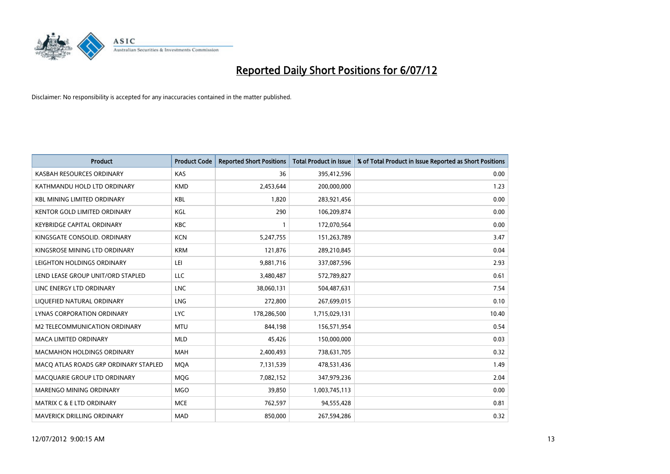

| <b>Product</b>                        | <b>Product Code</b> | <b>Reported Short Positions</b> | <b>Total Product in Issue</b> | % of Total Product in Issue Reported as Short Positions |
|---------------------------------------|---------------------|---------------------------------|-------------------------------|---------------------------------------------------------|
| KASBAH RESOURCES ORDINARY             | <b>KAS</b>          | 36                              | 395,412,596                   | 0.00                                                    |
| KATHMANDU HOLD LTD ORDINARY           | <b>KMD</b>          | 2,453,644                       | 200,000,000                   | 1.23                                                    |
| <b>KBL MINING LIMITED ORDINARY</b>    | KBL                 | 1,820                           | 283,921,456                   | 0.00                                                    |
| KENTOR GOLD LIMITED ORDINARY          | KGL                 | 290                             | 106,209,874                   | 0.00                                                    |
| <b>KEYBRIDGE CAPITAL ORDINARY</b>     | <b>KBC</b>          |                                 | 172,070,564                   | 0.00                                                    |
| KINGSGATE CONSOLID. ORDINARY          | <b>KCN</b>          | 5,247,755                       | 151,263,789                   | 3.47                                                    |
| KINGSROSE MINING LTD ORDINARY         | <b>KRM</b>          | 121.876                         | 289,210,845                   | 0.04                                                    |
| LEIGHTON HOLDINGS ORDINARY            | LEI                 | 9,881,716                       | 337,087,596                   | 2.93                                                    |
| LEND LEASE GROUP UNIT/ORD STAPLED     | LLC                 | 3,480,487                       | 572,789,827                   | 0.61                                                    |
| LINC ENERGY LTD ORDINARY              | <b>LNC</b>          | 38,060,131                      | 504,487,631                   | 7.54                                                    |
| LIQUEFIED NATURAL ORDINARY            | <b>LNG</b>          | 272,800                         | 267,699,015                   | 0.10                                                    |
| <b>LYNAS CORPORATION ORDINARY</b>     | <b>LYC</b>          | 178,286,500                     | 1,715,029,131                 | 10.40                                                   |
| M2 TELECOMMUNICATION ORDINARY         | <b>MTU</b>          | 844,198                         | 156,571,954                   | 0.54                                                    |
| <b>MACA LIMITED ORDINARY</b>          | <b>MLD</b>          | 45,426                          | 150,000,000                   | 0.03                                                    |
| <b>MACMAHON HOLDINGS ORDINARY</b>     | <b>MAH</b>          | 2,400,493                       | 738,631,705                   | 0.32                                                    |
| MACQ ATLAS ROADS GRP ORDINARY STAPLED | <b>MQA</b>          | 7,131,539                       | 478,531,436                   | 1.49                                                    |
| MACQUARIE GROUP LTD ORDINARY          | <b>MOG</b>          | 7,082,152                       | 347,979,236                   | 2.04                                                    |
| MARENGO MINING ORDINARY               | <b>MGO</b>          | 39,850                          | 1,003,745,113                 | 0.00                                                    |
| <b>MATRIX C &amp; E LTD ORDINARY</b>  | <b>MCE</b>          | 762,597                         | 94,555,428                    | 0.81                                                    |
| <b>MAVERICK DRILLING ORDINARY</b>     | <b>MAD</b>          | 850.000                         | 267,594,286                   | 0.32                                                    |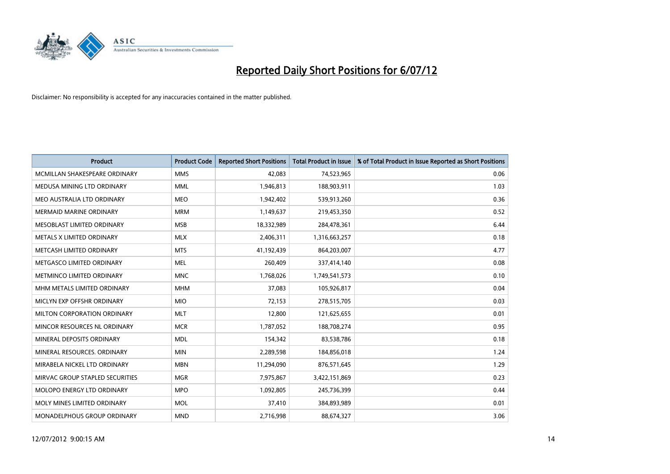

| <b>Product</b>                     | <b>Product Code</b> | <b>Reported Short Positions</b> | <b>Total Product in Issue</b> | % of Total Product in Issue Reported as Short Positions |
|------------------------------------|---------------------|---------------------------------|-------------------------------|---------------------------------------------------------|
| MCMILLAN SHAKESPEARE ORDINARY      | <b>MMS</b>          | 42.083                          | 74,523,965                    | 0.06                                                    |
| MEDUSA MINING LTD ORDINARY         | <b>MML</b>          | 1,946,813                       | 188,903,911                   | 1.03                                                    |
| MEO AUSTRALIA LTD ORDINARY         | <b>MEO</b>          | 1,942,402                       | 539,913,260                   | 0.36                                                    |
| MERMAID MARINE ORDINARY            | <b>MRM</b>          | 1,149,637                       | 219,453,350                   | 0.52                                                    |
| MESOBLAST LIMITED ORDINARY         | <b>MSB</b>          | 18,332,989                      | 284,478,361                   | 6.44                                                    |
| METALS X LIMITED ORDINARY          | <b>MLX</b>          | 2,406,311                       | 1,316,663,257                 | 0.18                                                    |
| METCASH LIMITED ORDINARY           | <b>MTS</b>          | 41,192,439                      | 864,203,007                   | 4.77                                                    |
| METGASCO LIMITED ORDINARY          | <b>MEL</b>          | 260,409                         | 337,414,140                   | 0.08                                                    |
| METMINCO LIMITED ORDINARY          | <b>MNC</b>          | 1,768,026                       | 1,749,541,573                 | 0.10                                                    |
| MHM METALS LIMITED ORDINARY        | <b>MHM</b>          | 37,083                          | 105,926,817                   | 0.04                                                    |
| MICLYN EXP OFFSHR ORDINARY         | <b>MIO</b>          | 72,153                          | 278,515,705                   | 0.03                                                    |
| <b>MILTON CORPORATION ORDINARY</b> | <b>MLT</b>          | 12,800                          | 121,625,655                   | 0.01                                                    |
| MINCOR RESOURCES NL ORDINARY       | <b>MCR</b>          | 1,787,052                       | 188,708,274                   | 0.95                                                    |
| MINERAL DEPOSITS ORDINARY          | <b>MDL</b>          | 154,342                         | 83,538,786                    | 0.18                                                    |
| MINERAL RESOURCES, ORDINARY        | <b>MIN</b>          | 2,289,598                       | 184,856,018                   | 1.24                                                    |
| MIRABELA NICKEL LTD ORDINARY       | <b>MBN</b>          | 11,294,090                      | 876,571,645                   | 1.29                                                    |
| MIRVAC GROUP STAPLED SECURITIES    | <b>MGR</b>          | 7,975,867                       | 3,422,151,869                 | 0.23                                                    |
| MOLOPO ENERGY LTD ORDINARY         | <b>MPO</b>          | 1,092,805                       | 245,736,399                   | 0.44                                                    |
| MOLY MINES LIMITED ORDINARY        | <b>MOL</b>          | 37,410                          | 384,893,989                   | 0.01                                                    |
| <b>MONADELPHOUS GROUP ORDINARY</b> | <b>MND</b>          | 2,716,998                       | 88,674,327                    | 3.06                                                    |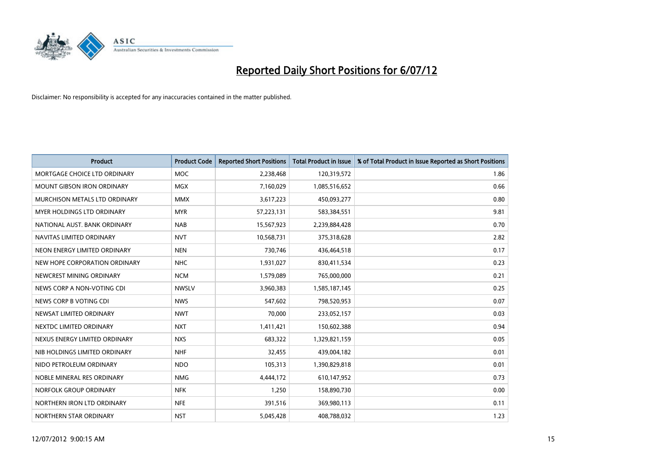

| <b>Product</b>                | <b>Product Code</b> | <b>Reported Short Positions</b> | <b>Total Product in Issue</b> | % of Total Product in Issue Reported as Short Positions |
|-------------------------------|---------------------|---------------------------------|-------------------------------|---------------------------------------------------------|
| MORTGAGE CHOICE LTD ORDINARY  | <b>MOC</b>          | 2,238,468                       | 120,319,572                   | 1.86                                                    |
| MOUNT GIBSON IRON ORDINARY    | <b>MGX</b>          | 7,160,029                       | 1,085,516,652                 | 0.66                                                    |
| MURCHISON METALS LTD ORDINARY | <b>MMX</b>          | 3,617,223                       | 450,093,277                   | 0.80                                                    |
| MYER HOLDINGS LTD ORDINARY    | <b>MYR</b>          | 57,223,131                      | 583,384,551                   | 9.81                                                    |
| NATIONAL AUST, BANK ORDINARY  | <b>NAB</b>          | 15,567,923                      | 2,239,884,428                 | 0.70                                                    |
| NAVITAS LIMITED ORDINARY      | <b>NVT</b>          | 10,568,731                      | 375,318,628                   | 2.82                                                    |
| NEON ENERGY LIMITED ORDINARY  | <b>NEN</b>          | 730,746                         | 436,464,518                   | 0.17                                                    |
| NEW HOPE CORPORATION ORDINARY | <b>NHC</b>          | 1,931,027                       | 830,411,534                   | 0.23                                                    |
| NEWCREST MINING ORDINARY      | <b>NCM</b>          | 1,579,089                       | 765,000,000                   | 0.21                                                    |
| NEWS CORP A NON-VOTING CDI    | <b>NWSLV</b>        | 3,960,383                       | 1,585,187,145                 | 0.25                                                    |
| NEWS CORP B VOTING CDI        | <b>NWS</b>          | 547,602                         | 798,520,953                   | 0.07                                                    |
| NEWSAT LIMITED ORDINARY       | <b>NWT</b>          | 70,000                          | 233,052,157                   | 0.03                                                    |
| NEXTDC LIMITED ORDINARY       | <b>NXT</b>          | 1,411,421                       | 150,602,388                   | 0.94                                                    |
| NEXUS ENERGY LIMITED ORDINARY | <b>NXS</b>          | 683,322                         | 1,329,821,159                 | 0.05                                                    |
| NIB HOLDINGS LIMITED ORDINARY | <b>NHF</b>          | 32,455                          | 439,004,182                   | 0.01                                                    |
| NIDO PETROLEUM ORDINARY       | <b>NDO</b>          | 105,313                         | 1,390,829,818                 | 0.01                                                    |
| NOBLE MINERAL RES ORDINARY    | <b>NMG</b>          | 4,444,172                       | 610,147,952                   | 0.73                                                    |
| NORFOLK GROUP ORDINARY        | <b>NFK</b>          | 1,250                           | 158,890,730                   | 0.00                                                    |
| NORTHERN IRON LTD ORDINARY    | <b>NFE</b>          | 391,516                         | 369,980,113                   | 0.11                                                    |
| NORTHERN STAR ORDINARY        | <b>NST</b>          | 5,045,428                       | 408,788,032                   | 1.23                                                    |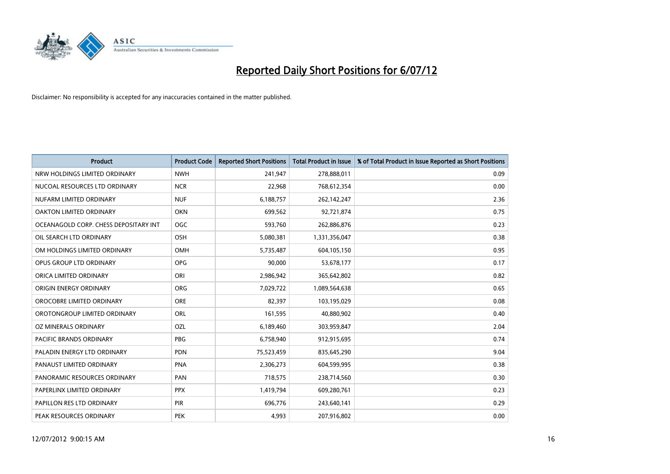

| <b>Product</b>                        | <b>Product Code</b> | <b>Reported Short Positions</b> | <b>Total Product in Issue</b> | % of Total Product in Issue Reported as Short Positions |
|---------------------------------------|---------------------|---------------------------------|-------------------------------|---------------------------------------------------------|
| NRW HOLDINGS LIMITED ORDINARY         | <b>NWH</b>          | 241,947                         | 278,888,011                   | 0.09                                                    |
| NUCOAL RESOURCES LTD ORDINARY         | <b>NCR</b>          | 22,968                          | 768,612,354                   | 0.00                                                    |
| NUFARM LIMITED ORDINARY               | <b>NUF</b>          | 6,188,757                       | 262,142,247                   | 2.36                                                    |
| OAKTON LIMITED ORDINARY               | <b>OKN</b>          | 699,562                         | 92,721,874                    | 0.75                                                    |
| OCEANAGOLD CORP. CHESS DEPOSITARY INT | OGC                 | 593,760                         | 262,886,876                   | 0.23                                                    |
| OIL SEARCH LTD ORDINARY               | <b>OSH</b>          | 5,080,381                       | 1,331,356,047                 | 0.38                                                    |
| OM HOLDINGS LIMITED ORDINARY          | <b>OMH</b>          | 5,735,487                       | 604,105,150                   | 0.95                                                    |
| OPUS GROUP LTD ORDINARY               | <b>OPG</b>          | 90,000                          | 53,678,177                    | 0.17                                                    |
| ORICA LIMITED ORDINARY                | ORI                 | 2,986,942                       | 365,642,802                   | 0.82                                                    |
| ORIGIN ENERGY ORDINARY                | <b>ORG</b>          | 7,029,722                       | 1,089,564,638                 | 0.65                                                    |
| OROCOBRE LIMITED ORDINARY             | <b>ORE</b>          | 82,397                          | 103,195,029                   | 0.08                                                    |
| OROTONGROUP LIMITED ORDINARY          | ORL                 | 161,595                         | 40,880,902                    | 0.40                                                    |
| OZ MINERALS ORDINARY                  | OZL                 | 6,189,460                       | 303,959,847                   | 2.04                                                    |
| PACIFIC BRANDS ORDINARY               | <b>PBG</b>          | 6,758,940                       | 912,915,695                   | 0.74                                                    |
| PALADIN ENERGY LTD ORDINARY           | <b>PDN</b>          | 75,523,459                      | 835,645,290                   | 9.04                                                    |
| PANAUST LIMITED ORDINARY              | <b>PNA</b>          | 2,306,273                       | 604,599,995                   | 0.38                                                    |
| PANORAMIC RESOURCES ORDINARY          | PAN                 | 718,575                         | 238,714,560                   | 0.30                                                    |
| PAPERLINX LIMITED ORDINARY            | <b>PPX</b>          | 1,419,794                       | 609,280,761                   | 0.23                                                    |
| PAPILLON RES LTD ORDINARY             | <b>PIR</b>          | 696,776                         | 243,640,141                   | 0.29                                                    |
| PEAK RESOURCES ORDINARY               | <b>PEK</b>          | 4,993                           | 207,916,802                   | 0.00                                                    |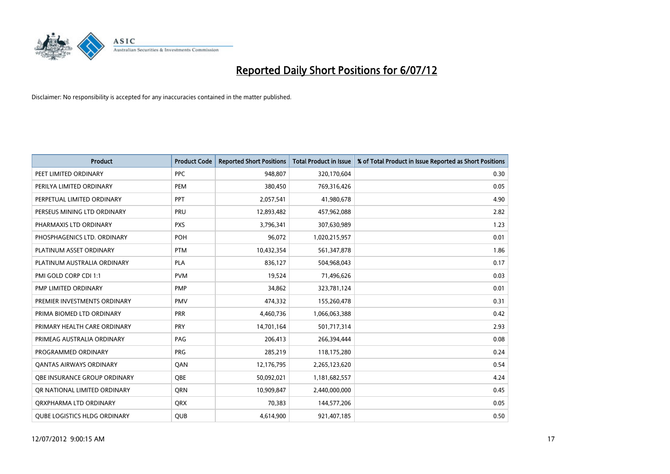

| <b>Product</b>                      | <b>Product Code</b> | <b>Reported Short Positions</b> | <b>Total Product in Issue</b> | % of Total Product in Issue Reported as Short Positions |
|-------------------------------------|---------------------|---------------------------------|-------------------------------|---------------------------------------------------------|
| PEET LIMITED ORDINARY               | <b>PPC</b>          | 948,807                         | 320,170,604                   | 0.30                                                    |
| PERILYA LIMITED ORDINARY            | PEM                 | 380,450                         | 769,316,426                   | 0.05                                                    |
| PERPETUAL LIMITED ORDINARY          | <b>PPT</b>          | 2,057,541                       | 41,980,678                    | 4.90                                                    |
| PERSEUS MINING LTD ORDINARY         | PRU                 | 12,893,482                      | 457,962,088                   | 2.82                                                    |
| PHARMAXIS LTD ORDINARY              | <b>PXS</b>          | 3,796,341                       | 307,630,989                   | 1.23                                                    |
| PHOSPHAGENICS LTD. ORDINARY         | POH                 | 96,072                          | 1,020,215,957                 | 0.01                                                    |
| PLATINUM ASSET ORDINARY             | <b>PTM</b>          | 10,432,354                      | 561,347,878                   | 1.86                                                    |
| PLATINUM AUSTRALIA ORDINARY         | <b>PLA</b>          | 836,127                         | 504,968,043                   | 0.17                                                    |
| PMI GOLD CORP CDI 1:1               | <b>PVM</b>          | 19,524                          | 71,496,626                    | 0.03                                                    |
| PMP LIMITED ORDINARY                | <b>PMP</b>          | 34,862                          | 323,781,124                   | 0.01                                                    |
| PREMIER INVESTMENTS ORDINARY        | <b>PMV</b>          | 474,332                         | 155,260,478                   | 0.31                                                    |
| PRIMA BIOMED LTD ORDINARY           | <b>PRR</b>          | 4,460,736                       | 1,066,063,388                 | 0.42                                                    |
| PRIMARY HEALTH CARE ORDINARY        | <b>PRY</b>          | 14,701,164                      | 501,717,314                   | 2.93                                                    |
| PRIMEAG AUSTRALIA ORDINARY          | PAG                 | 206.413                         | 266,394,444                   | 0.08                                                    |
| PROGRAMMED ORDINARY                 | <b>PRG</b>          | 285,219                         | 118,175,280                   | 0.24                                                    |
| <b>QANTAS AIRWAYS ORDINARY</b>      | QAN                 | 12,176,795                      | 2,265,123,620                 | 0.54                                                    |
| OBE INSURANCE GROUP ORDINARY        | <b>OBE</b>          | 50,092,021                      | 1,181,682,557                 | 4.24                                                    |
| OR NATIONAL LIMITED ORDINARY        | <b>ORN</b>          | 10,909,847                      | 2,440,000,000                 | 0.45                                                    |
| ORXPHARMA LTD ORDINARY              | <b>QRX</b>          | 70,383                          | 144,577,206                   | 0.05                                                    |
| <b>OUBE LOGISTICS HLDG ORDINARY</b> | <b>OUB</b>          | 4,614,900                       | 921,407,185                   | 0.50                                                    |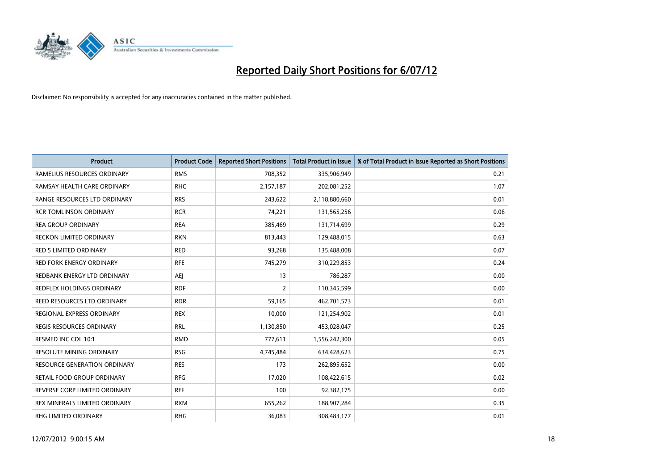

| <b>Product</b>                      | <b>Product Code</b> | <b>Reported Short Positions</b> | <b>Total Product in Issue</b> | % of Total Product in Issue Reported as Short Positions |
|-------------------------------------|---------------------|---------------------------------|-------------------------------|---------------------------------------------------------|
| RAMELIUS RESOURCES ORDINARY         | <b>RMS</b>          | 708,352                         | 335,906,949                   | 0.21                                                    |
| RAMSAY HEALTH CARE ORDINARY         | <b>RHC</b>          | 2,157,187                       | 202,081,252                   | 1.07                                                    |
| RANGE RESOURCES LTD ORDINARY        | <b>RRS</b>          | 243,622                         | 2,118,880,660                 | 0.01                                                    |
| <b>RCR TOMLINSON ORDINARY</b>       | <b>RCR</b>          | 74,221                          | 131,565,256                   | 0.06                                                    |
| <b>REA GROUP ORDINARY</b>           | <b>REA</b>          | 385,469                         | 131,714,699                   | 0.29                                                    |
| <b>RECKON LIMITED ORDINARY</b>      | <b>RKN</b>          | 813,443                         | 129,488,015                   | 0.63                                                    |
| RED 5 LIMITED ORDINARY              | <b>RED</b>          | 93,268                          | 135,488,008                   | 0.07                                                    |
| <b>RED FORK ENERGY ORDINARY</b>     | <b>RFE</b>          | 745,279                         | 310,229,853                   | 0.24                                                    |
| REDBANK ENERGY LTD ORDINARY         | AEJ                 | 13                              | 786,287                       | 0.00                                                    |
| <b>REDFLEX HOLDINGS ORDINARY</b>    | <b>RDF</b>          | 2                               | 110,345,599                   | 0.00                                                    |
| REED RESOURCES LTD ORDINARY         | <b>RDR</b>          | 59,165                          | 462,701,573                   | 0.01                                                    |
| REGIONAL EXPRESS ORDINARY           | <b>REX</b>          | 10,000                          | 121,254,902                   | 0.01                                                    |
| <b>REGIS RESOURCES ORDINARY</b>     | <b>RRL</b>          | 1,130,850                       | 453,028,047                   | 0.25                                                    |
| RESMED INC CDI 10:1                 | <b>RMD</b>          | 777,611                         | 1,556,242,300                 | 0.05                                                    |
| <b>RESOLUTE MINING ORDINARY</b>     | <b>RSG</b>          | 4,745,484                       | 634,428,623                   | 0.75                                                    |
| <b>RESOURCE GENERATION ORDINARY</b> | <b>RES</b>          | 173                             | 262,895,652                   | 0.00                                                    |
| RETAIL FOOD GROUP ORDINARY          | <b>RFG</b>          | 17,020                          | 108,422,615                   | 0.02                                                    |
| REVERSE CORP LIMITED ORDINARY       | <b>REF</b>          | 100                             | 92,382,175                    | 0.00                                                    |
| REX MINERALS LIMITED ORDINARY       | <b>RXM</b>          | 655,262                         | 188,907,284                   | 0.35                                                    |
| RHG LIMITED ORDINARY                | <b>RHG</b>          | 36,083                          | 308,483,177                   | 0.01                                                    |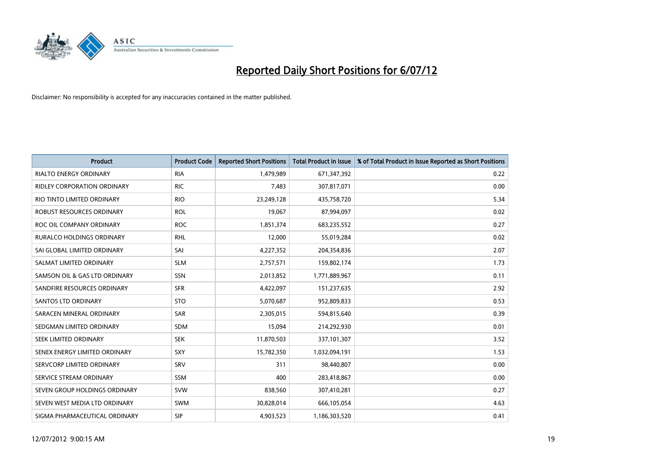

| <b>Product</b>                   | <b>Product Code</b> | <b>Reported Short Positions</b> | <b>Total Product in Issue</b> | % of Total Product in Issue Reported as Short Positions |
|----------------------------------|---------------------|---------------------------------|-------------------------------|---------------------------------------------------------|
| <b>RIALTO ENERGY ORDINARY</b>    | <b>RIA</b>          | 1,479,989                       | 671,347,392                   | 0.22                                                    |
| RIDLEY CORPORATION ORDINARY      | <b>RIC</b>          | 7,483                           | 307,817,071                   | 0.00                                                    |
| RIO TINTO LIMITED ORDINARY       | <b>RIO</b>          | 23,249,128                      | 435,758,720                   | 5.34                                                    |
| ROBUST RESOURCES ORDINARY        | <b>ROL</b>          | 19,067                          | 87,994,097                    | 0.02                                                    |
| ROC OIL COMPANY ORDINARY         | <b>ROC</b>          | 1,851,374                       | 683,235,552                   | 0.27                                                    |
| <b>RURALCO HOLDINGS ORDINARY</b> | <b>RHL</b>          | 12,000                          | 55,019,284                    | 0.02                                                    |
| SAI GLOBAL LIMITED ORDINARY      | SAI                 | 4,227,352                       | 204,354,836                   | 2.07                                                    |
| SALMAT LIMITED ORDINARY          | <b>SLM</b>          | 2,757,571                       | 159,802,174                   | 1.73                                                    |
| SAMSON OIL & GAS LTD ORDINARY    | SSN                 | 2,013,852                       | 1,771,889,967                 | 0.11                                                    |
| SANDFIRE RESOURCES ORDINARY      | <b>SFR</b>          | 4,422,097                       | 151,237,635                   | 2.92                                                    |
| SANTOS LTD ORDINARY              | <b>STO</b>          | 5,070,687                       | 952,809,833                   | 0.53                                                    |
| SARACEN MINERAL ORDINARY         | SAR                 | 2,305,015                       | 594,815,640                   | 0.39                                                    |
| SEDGMAN LIMITED ORDINARY         | <b>SDM</b>          | 15,094                          | 214,292,930                   | 0.01                                                    |
| SEEK LIMITED ORDINARY            | <b>SEK</b>          | 11,870,503                      | 337,101,307                   | 3.52                                                    |
| SENEX ENERGY LIMITED ORDINARY    | <b>SXY</b>          | 15,782,350                      | 1,032,094,191                 | 1.53                                                    |
| SERVCORP LIMITED ORDINARY        | SRV                 | 311                             | 98,440,807                    | 0.00                                                    |
| SERVICE STREAM ORDINARY          | <b>SSM</b>          | 400                             | 283,418,867                   | 0.00                                                    |
| SEVEN GROUP HOLDINGS ORDINARY    | <b>SVW</b>          | 838,560                         | 307,410,281                   | 0.27                                                    |
| SEVEN WEST MEDIA LTD ORDINARY    | <b>SWM</b>          | 30,828,014                      | 666,105,054                   | 4.63                                                    |
| SIGMA PHARMACEUTICAL ORDINARY    | <b>SIP</b>          | 4,903,523                       | 1,186,303,520                 | 0.41                                                    |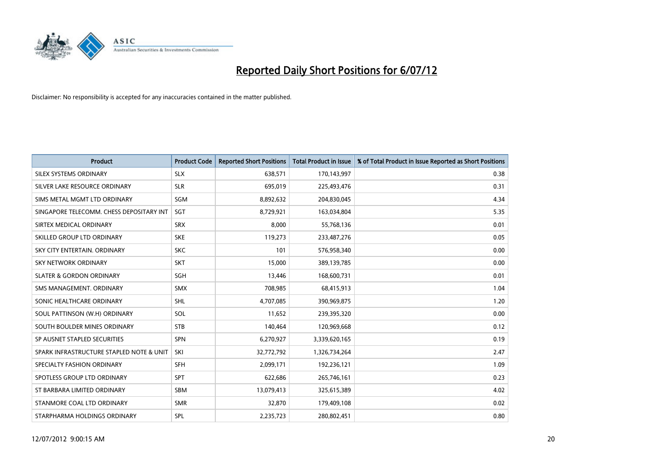

| <b>Product</b>                           | <b>Product Code</b> | <b>Reported Short Positions</b> | <b>Total Product in Issue</b> | % of Total Product in Issue Reported as Short Positions |
|------------------------------------------|---------------------|---------------------------------|-------------------------------|---------------------------------------------------------|
| SILEX SYSTEMS ORDINARY                   | <b>SLX</b>          | 638,571                         | 170,143,997                   | 0.38                                                    |
| SILVER LAKE RESOURCE ORDINARY            | <b>SLR</b>          | 695,019                         | 225,493,476                   | 0.31                                                    |
| SIMS METAL MGMT LTD ORDINARY             | SGM                 | 8,892,632                       | 204,830,045                   | 4.34                                                    |
| SINGAPORE TELECOMM. CHESS DEPOSITARY INT | <b>SGT</b>          | 8,729,921                       | 163,034,804                   | 5.35                                                    |
| SIRTEX MEDICAL ORDINARY                  | <b>SRX</b>          | 8,000                           | 55,768,136                    | 0.01                                                    |
| SKILLED GROUP LTD ORDINARY               | <b>SKE</b>          | 119,273                         | 233,487,276                   | 0.05                                                    |
| SKY CITY ENTERTAIN, ORDINARY             | <b>SKC</b>          | 101                             | 576,958,340                   | 0.00                                                    |
| SKY NETWORK ORDINARY                     | <b>SKT</b>          | 15,000                          | 389,139,785                   | 0.00                                                    |
| <b>SLATER &amp; GORDON ORDINARY</b>      | SGH                 | 13,446                          | 168,600,731                   | 0.01                                                    |
| SMS MANAGEMENT, ORDINARY                 | <b>SMX</b>          | 708,985                         | 68,415,913                    | 1.04                                                    |
| SONIC HEALTHCARE ORDINARY                | <b>SHL</b>          | 4,707,085                       | 390,969,875                   | 1.20                                                    |
| SOUL PATTINSON (W.H) ORDINARY            | SOL                 | 11,652                          | 239,395,320                   | 0.00                                                    |
| SOUTH BOULDER MINES ORDINARY             | <b>STB</b>          | 140,464                         | 120,969,668                   | 0.12                                                    |
| SP AUSNET STAPLED SECURITIES             | <b>SPN</b>          | 6,270,927                       | 3,339,620,165                 | 0.19                                                    |
| SPARK INFRASTRUCTURE STAPLED NOTE & UNIT | SKI                 | 32,772,792                      | 1,326,734,264                 | 2.47                                                    |
| SPECIALTY FASHION ORDINARY               | <b>SFH</b>          | 2,099,171                       | 192,236,121                   | 1.09                                                    |
| SPOTLESS GROUP LTD ORDINARY              | <b>SPT</b>          | 622,686                         | 265,746,161                   | 0.23                                                    |
| ST BARBARA LIMITED ORDINARY              | <b>SBM</b>          | 13,079,413                      | 325,615,389                   | 4.02                                                    |
| STANMORE COAL LTD ORDINARY               | <b>SMR</b>          | 32,870                          | 179,409,108                   | 0.02                                                    |
| STARPHARMA HOLDINGS ORDINARY             | SPL                 | 2,235,723                       | 280,802,451                   | 0.80                                                    |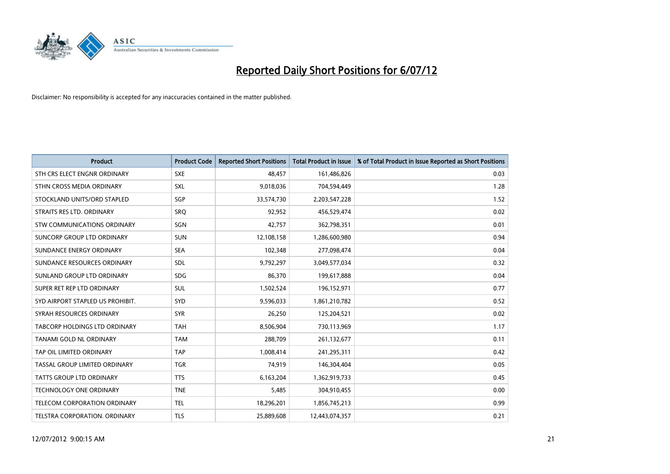

| <b>Product</b>                      | <b>Product Code</b> | <b>Reported Short Positions</b> | <b>Total Product in Issue</b> | % of Total Product in Issue Reported as Short Positions |
|-------------------------------------|---------------------|---------------------------------|-------------------------------|---------------------------------------------------------|
| STH CRS ELECT ENGNR ORDINARY        | <b>SXE</b>          | 48.457                          | 161,486,826                   | 0.03                                                    |
| STHN CROSS MEDIA ORDINARY           | <b>SXL</b>          | 9,018,036                       | 704,594,449                   | 1.28                                                    |
| STOCKLAND UNITS/ORD STAPLED         | SGP                 | 33,574,730                      | 2,203,547,228                 | 1.52                                                    |
| STRAITS RES LTD. ORDINARY           | <b>SRO</b>          | 92,952                          | 456,529,474                   | 0.02                                                    |
| <b>STW COMMUNICATIONS ORDINARY</b>  | SGN                 | 42,757                          | 362,798,351                   | 0.01                                                    |
| SUNCORP GROUP LTD ORDINARY          | <b>SUN</b>          | 12,108,158                      | 1,286,600,980                 | 0.94                                                    |
| SUNDANCE ENERGY ORDINARY            | <b>SEA</b>          | 102,348                         | 277,098,474                   | 0.04                                                    |
| SUNDANCE RESOURCES ORDINARY         | <b>SDL</b>          | 9,792,297                       | 3,049,577,034                 | 0.32                                                    |
| SUNLAND GROUP LTD ORDINARY          | <b>SDG</b>          | 86,370                          | 199,617,888                   | 0.04                                                    |
| SUPER RET REP LTD ORDINARY          | <b>SUL</b>          | 1,502,524                       | 196,152,971                   | 0.77                                                    |
| SYD AIRPORT STAPLED US PROHIBIT.    | <b>SYD</b>          | 9,596,033                       | 1,861,210,782                 | 0.52                                                    |
| SYRAH RESOURCES ORDINARY            | <b>SYR</b>          | 26,250                          | 125,204,521                   | 0.02                                                    |
| TABCORP HOLDINGS LTD ORDINARY       | <b>TAH</b>          | 8,506,904                       | 730,113,969                   | 1.17                                                    |
| <b>TANAMI GOLD NL ORDINARY</b>      | <b>TAM</b>          | 288,709                         | 261,132,677                   | 0.11                                                    |
| TAP OIL LIMITED ORDINARY            | <b>TAP</b>          | 1,008,414                       | 241,295,311                   | 0.42                                                    |
| TASSAL GROUP LIMITED ORDINARY       | <b>TGR</b>          | 74,919                          | 146,304,404                   | 0.05                                                    |
| <b>TATTS GROUP LTD ORDINARY</b>     | <b>TTS</b>          | 6,163,204                       | 1,362,919,733                 | 0.45                                                    |
| <b>TECHNOLOGY ONE ORDINARY</b>      | <b>TNE</b>          | 5,485                           | 304,910,455                   | 0.00                                                    |
| <b>TELECOM CORPORATION ORDINARY</b> | <b>TEL</b>          | 18,296,201                      | 1,856,745,213                 | 0.99                                                    |
| TELSTRA CORPORATION, ORDINARY       | <b>TLS</b>          | 25,889,608                      | 12,443,074,357                | 0.21                                                    |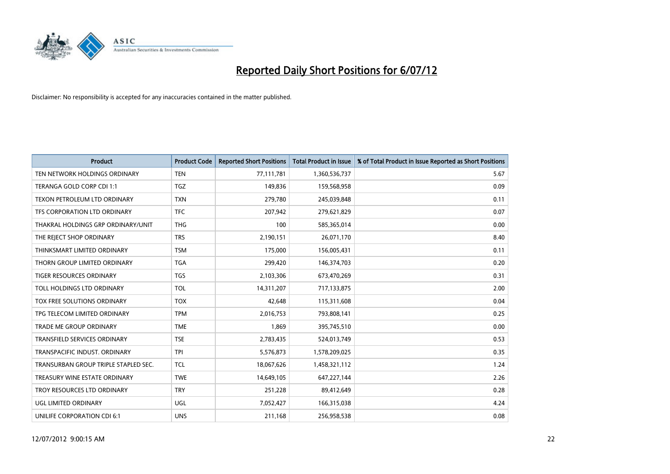

| <b>Product</b>                       | <b>Product Code</b> | <b>Reported Short Positions</b> | <b>Total Product in Issue</b> | % of Total Product in Issue Reported as Short Positions |
|--------------------------------------|---------------------|---------------------------------|-------------------------------|---------------------------------------------------------|
| TEN NETWORK HOLDINGS ORDINARY        | <b>TEN</b>          | 77,111,781                      | 1,360,536,737                 | 5.67                                                    |
| TERANGA GOLD CORP CDI 1:1            | <b>TGZ</b>          | 149,836                         | 159,568,958                   | 0.09                                                    |
| TEXON PETROLEUM LTD ORDINARY         | <b>TXN</b>          | 279,780                         | 245,039,848                   | 0.11                                                    |
| TFS CORPORATION LTD ORDINARY         | <b>TFC</b>          | 207,942                         | 279,621,829                   | 0.07                                                    |
| THAKRAL HOLDINGS GRP ORDINARY/UNIT   | <b>THG</b>          | 100                             | 585,365,014                   | 0.00                                                    |
| THE REJECT SHOP ORDINARY             | <b>TRS</b>          | 2,190,151                       | 26,071,170                    | 8.40                                                    |
| THINKSMART LIMITED ORDINARY          | <b>TSM</b>          | 175,000                         | 156,005,431                   | 0.11                                                    |
| THORN GROUP LIMITED ORDINARY         | <b>TGA</b>          | 299,420                         | 146,374,703                   | 0.20                                                    |
| TIGER RESOURCES ORDINARY             | <b>TGS</b>          | 2,103,306                       | 673,470,269                   | 0.31                                                    |
| TOLL HOLDINGS LTD ORDINARY           | <b>TOL</b>          | 14,311,207                      | 717,133,875                   | 2.00                                                    |
| TOX FREE SOLUTIONS ORDINARY          | <b>TOX</b>          | 42,648                          | 115,311,608                   | 0.04                                                    |
| TPG TELECOM LIMITED ORDINARY         | <b>TPM</b>          | 2,016,753                       | 793,808,141                   | 0.25                                                    |
| TRADE ME GROUP ORDINARY              | <b>TME</b>          | 1,869                           | 395,745,510                   | 0.00                                                    |
| <b>TRANSFIELD SERVICES ORDINARY</b>  | <b>TSE</b>          | 2,783,435                       | 524,013,749                   | 0.53                                                    |
| TRANSPACIFIC INDUST, ORDINARY        | <b>TPI</b>          | 5,576,873                       | 1,578,209,025                 | 0.35                                                    |
| TRANSURBAN GROUP TRIPLE STAPLED SEC. | <b>TCL</b>          | 18,067,626                      | 1,458,321,112                 | 1.24                                                    |
| TREASURY WINE ESTATE ORDINARY        | <b>TWE</b>          | 14,649,105                      | 647,227,144                   | 2.26                                                    |
| TROY RESOURCES LTD ORDINARY          | <b>TRY</b>          | 251,228                         | 89,412,649                    | 0.28                                                    |
| UGL LIMITED ORDINARY                 | <b>UGL</b>          | 7,052,427                       | 166,315,038                   | 4.24                                                    |
| UNILIFE CORPORATION CDI 6:1          | <b>UNS</b>          | 211,168                         | 256,958,538                   | 0.08                                                    |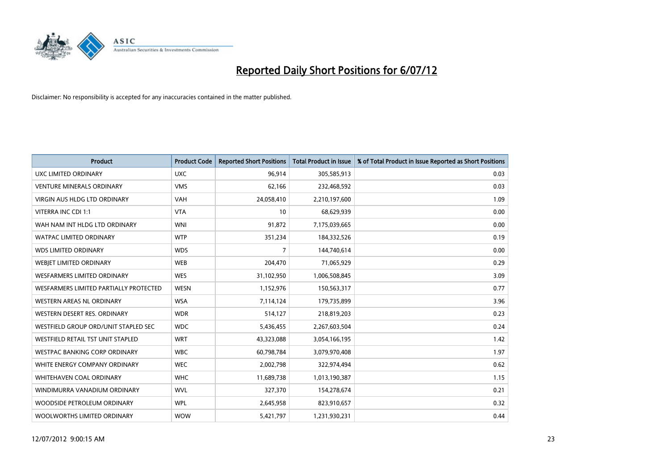

| <b>Product</b>                           | <b>Product Code</b> | <b>Reported Short Positions</b> | <b>Total Product in Issue</b> | % of Total Product in Issue Reported as Short Positions |
|------------------------------------------|---------------------|---------------------------------|-------------------------------|---------------------------------------------------------|
| <b>UXC LIMITED ORDINARY</b>              | <b>UXC</b>          | 96,914                          | 305,585,913                   | 0.03                                                    |
| <b>VENTURE MINERALS ORDINARY</b>         | <b>VMS</b>          | 62,166                          | 232,468,592                   | 0.03                                                    |
| <b>VIRGIN AUS HLDG LTD ORDINARY</b>      | <b>VAH</b>          | 24,058,410                      | 2,210,197,600                 | 1.09                                                    |
| VITERRA INC CDI 1:1                      | <b>VTA</b>          | 10                              | 68,629,939                    | 0.00                                                    |
| WAH NAM INT HLDG LTD ORDINARY            | <b>WNI</b>          | 91,872                          | 7,175,039,665                 | 0.00                                                    |
| <b>WATPAC LIMITED ORDINARY</b>           | <b>WTP</b>          | 351,234                         | 184,332,526                   | 0.19                                                    |
| <b>WDS LIMITED ORDINARY</b>              | <b>WDS</b>          | 7                               | 144,740,614                   | 0.00                                                    |
| WEBIET LIMITED ORDINARY                  | <b>WEB</b>          | 204,470                         | 71,065,929                    | 0.29                                                    |
| <b>WESFARMERS LIMITED ORDINARY</b>       | <b>WES</b>          | 31,102,950                      | 1,006,508,845                 | 3.09                                                    |
| WESFARMERS LIMITED PARTIALLY PROTECTED   | <b>WESN</b>         | 1,152,976                       | 150,563,317                   | 0.77                                                    |
| WESTERN AREAS NL ORDINARY                | <b>WSA</b>          | 7,114,124                       | 179,735,899                   | 3.96                                                    |
| WESTERN DESERT RES. ORDINARY             | <b>WDR</b>          | 514,127                         | 218,819,203                   | 0.23                                                    |
| WESTFIELD GROUP ORD/UNIT STAPLED SEC     | <b>WDC</b>          | 5,436,455                       | 2,267,603,504                 | 0.24                                                    |
| <b>WESTFIELD RETAIL TST UNIT STAPLED</b> | <b>WRT</b>          | 43,323,088                      | 3,054,166,195                 | 1.42                                                    |
| <b>WESTPAC BANKING CORP ORDINARY</b>     | <b>WBC</b>          | 60,798,784                      | 3,079,970,408                 | 1.97                                                    |
| WHITE ENERGY COMPANY ORDINARY            | <b>WEC</b>          | 2,002,798                       | 322,974,494                   | 0.62                                                    |
| WHITEHAVEN COAL ORDINARY                 | <b>WHC</b>          | 11,689,738                      | 1,013,190,387                 | 1.15                                                    |
| WINDIMURRA VANADIUM ORDINARY             | <b>WVL</b>          | 327,370                         | 154,278,674                   | 0.21                                                    |
| WOODSIDE PETROLEUM ORDINARY              | <b>WPL</b>          | 2,645,958                       | 823,910,657                   | 0.32                                                    |
| WOOLWORTHS LIMITED ORDINARY              | <b>WOW</b>          | 5,421,797                       | 1,231,930,231                 | 0.44                                                    |